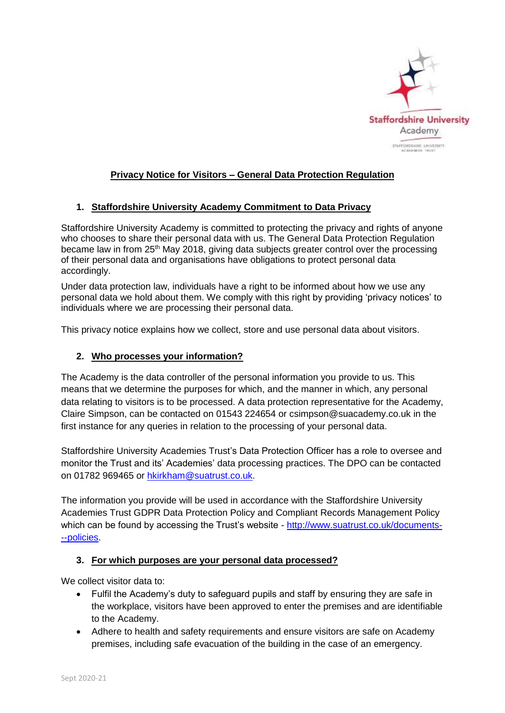

# **Privacy Notice for Visitors – General Data Protection Regulation**

### **1. Staffordshire University Academy Commitment to Data Privacy**

Staffordshire University Academy is committed to protecting the privacy and rights of anyone who chooses to share their personal data with us. The General Data Protection Regulation became law in from 25<sup>th</sup> May 2018, giving data subjects greater control over the processing of their personal data and organisations have obligations to protect personal data accordingly.

Under data protection law, individuals have a right to be informed about how we use any personal data we hold about them. We comply with this right by providing 'privacy notices' to individuals where we are processing their personal data.

This privacy notice explains how we collect, store and use personal data about visitors.

### **2. Who processes your information?**

The Academy is the data controller of the personal information you provide to us. This means that we determine the purposes for which, and the manner in which, any personal data relating to visitors is to be processed. A data protection representative for the Academy, Claire Simpson, can be contacted on 01543 224654 or csimpson@suacademy.co.uk in the first instance for any queries in relation to the processing of your personal data.

Staffordshire University Academies Trust's Data Protection Officer has a role to oversee and monitor the Trust and its' Academies' data processing practices. The DPO can be contacted on 01782 969465 or [hkirkham@suatrust.co.uk.](mailto:hkirkham@suatrust.co.uk)

The information you provide will be used in accordance with the Staffordshire University Academies Trust GDPR Data Protection Policy and Compliant Records Management Policy which can be found by accessing the Trust's website - [http://www.suatrust.co.uk/documents-](http://www.suatrust.co.uk/documents---policies) [--policies.](http://www.suatrust.co.uk/documents---policies)

#### **3. For which purposes are your personal data processed?**

We collect visitor data to:

- Fulfil the Academy's duty to safeguard pupils and staff by ensuring they are safe in the workplace, visitors have been approved to enter the premises and are identifiable to the Academy.
- Adhere to health and safety requirements and ensure visitors are safe on Academy premises, including safe evacuation of the building in the case of an emergency.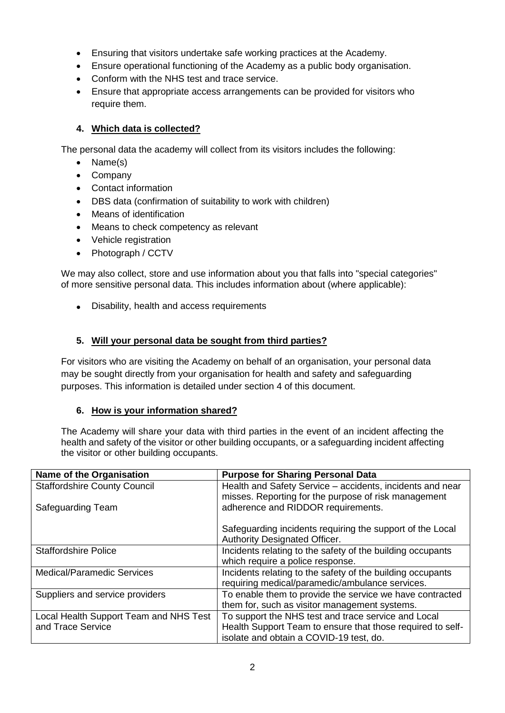- Ensuring that visitors undertake safe working practices at the Academy.
- Ensure operational functioning of the Academy as a public body organisation.
- Conform with the NHS test and trace service.
- Ensure that appropriate access arrangements can be provided for visitors who require them.

## **4. Which data is collected?**

The personal data the academy will collect from its visitors includes the following:

- Name(s)
- Company
- Contact information
- DBS data (confirmation of suitability to work with children)
- Means of identification
- Means to check competency as relevant
- Vehicle registration
- Photograph / CCTV

We may also collect, store and use information about you that falls into "special categories" of more sensitive personal data. This includes information about (where applicable):

Disability, health and access requirements

# **5. Will your personal data be sought from third parties?**

For visitors who are visiting the Academy on behalf of an organisation, your personal data may be sought directly from your organisation for health and safety and safeguarding purposes. This information is detailed under section 4 of this document.

## **6. How is your information shared?**

The Academy will share your data with third parties in the event of an incident affecting the health and safety of the visitor or other building occupants, or a safeguarding incident affecting the visitor or other building occupants.

| Name of the Organisation               | <b>Purpose for Sharing Personal Data</b>                   |
|----------------------------------------|------------------------------------------------------------|
| <b>Staffordshire County Council</b>    | Health and Safety Service - accidents, incidents and near  |
|                                        | misses. Reporting for the purpose of risk management       |
| Safeguarding Team                      | adherence and RIDDOR requirements.                         |
|                                        | Safeguarding incidents requiring the support of the Local  |
|                                        | <b>Authority Designated Officer.</b>                       |
| <b>Staffordshire Police</b>            | Incidents relating to the safety of the building occupants |
|                                        | which require a police response.                           |
| <b>Medical/Paramedic Services</b>      | Incidents relating to the safety of the building occupants |
|                                        | requiring medical/paramedic/ambulance services.            |
| Suppliers and service providers        | To enable them to provide the service we have contracted   |
|                                        | them for, such as visitor management systems.              |
| Local Health Support Team and NHS Test | To support the NHS test and trace service and Local        |
| and Trace Service                      | Health Support Team to ensure that those required to self- |
|                                        | isolate and obtain a COVID-19 test, do.                    |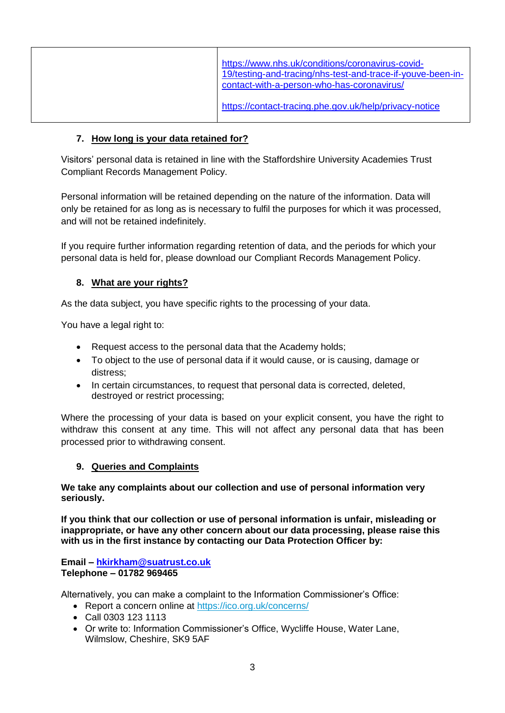| https://www.nhs.uk/conditions/coronavirus-covid-<br>19/testing-and-tracing/nhs-test-and-trace-if-youve-been-in-<br>contact-with-a-person-who-has-coronavirus/ |
|---------------------------------------------------------------------------------------------------------------------------------------------------------------|
| https://contact-tracing.phe.gov.uk/help/privacy-notice                                                                                                        |

## **7. How long is your data retained for?**

Visitors' personal data is retained in line with the Staffordshire University Academies Trust Compliant Records Management Policy.

Personal information will be retained depending on the nature of the information. Data will only be retained for as long as is necessary to fulfil the purposes for which it was processed, and will not be retained indefinitely.

If you require further information regarding retention of data, and the periods for which your personal data is held for, please download our Compliant Records Management Policy.

## **8. What are your rights?**

As the data subject, you have specific rights to the processing of your data.

You have a legal right to:

- Request access to the personal data that the Academy holds;
- To object to the use of personal data if it would cause, or is causing, damage or distress;
- In certain circumstances, to request that personal data is corrected, deleted, destroyed or restrict processing;

Where the processing of your data is based on your explicit consent, you have the right to withdraw this consent at any time. This will not affect any personal data that has been processed prior to withdrawing consent.

#### **9. Queries and Complaints**

**We take any complaints about our collection and use of personal information very seriously.**

**If you think that our collection or use of personal information is unfair, misleading or inappropriate, or have any other concern about our data processing, please raise this with us in the first instance by contacting our Data Protection Officer by:**

**Email – [hkirkham@suatrust.co.uk](mailto:hkirkham@suatrust.co.uk) Telephone – 01782 969465**

Alternatively, you can make a complaint to the Information Commissioner's Office:

- Report a concern online at<https://ico.org.uk/concerns/>
- Call 0303 123 1113
- Or write to: Information Commissioner's Office, Wycliffe House, Water Lane, Wilmslow, Cheshire, SK9 5AF